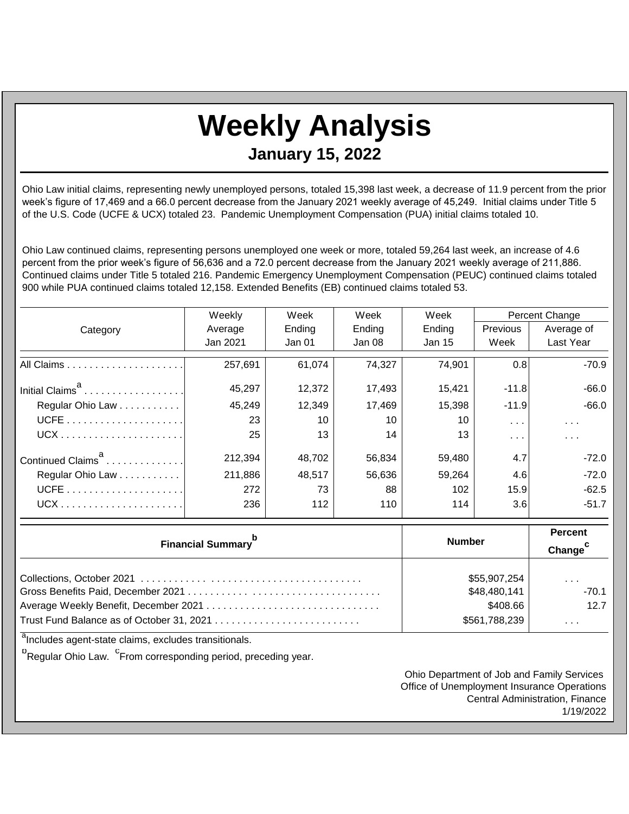## **Weekly Analysis January 15, 2022**

Ohio Law initial claims, representing newly unemployed persons, totaled 15,398 last week, a decrease of 11.9 percent from the prior week's figure of 17,469 and a 66.0 percent decrease from the January 2021 weekly average of 45,249. Initial claims under Title 5 of the U.S. Code (UCFE & UCX) totaled 23. Pandemic Unemployment Compensation (PUA) initial claims totaled 10.

Ohio Law continued claims, representing persons unemployed one week or more, totaled 59,264 last week, an increase of 4.6 percent from the prior week's figure of 56,636 and a 72.0 percent decrease from the January 2021 weekly average of 211,886. Continued claims under Title 5 totaled 216. Pandemic Emergency Unemployment Compensation (PEUC) continued claims totaled 900 while PUA continued claims totaled 12,158. Extended Benefits (EB) continued claims totaled 53.

|                               | Weekly   | Week<br>Week |        | Week          |                         | Percent Change          |  |
|-------------------------------|----------|--------------|--------|---------------|-------------------------|-------------------------|--|
| Category                      | Average  | Ending       | Ending | Ending        | Previous                | Average of              |  |
|                               | Jan 2021 | Jan 01       | Jan 08 | <b>Jan 15</b> | Week                    | Last Year               |  |
|                               | 257,691  | 61,074       | 74,327 | 74,901        | 0.8                     | $-70.9$                 |  |
| Initial Claims <sup>a</sup>   | 45,297   | 12,372       | 17,493 | 15,421        | $-11.8$                 | $-66.0$                 |  |
| Regular Ohio Law              | 45,249   | 12,349       | 17,469 | 15,398        | $-11.9$                 | $-66.0$                 |  |
|                               | 23       | 10           | 10     | 10            | $\sim 100$ km s $^{-1}$ | $\sim 100$ km s $^{-1}$ |  |
|                               | 25       | 13           | 14     | 13            | $\sim 100$ km s $^{-1}$ | $\sim$ $\sim$           |  |
| Continued Claims <sup>a</sup> | 212,394  | 48,702       | 56,834 | 59,480        | 4.7                     | $-72.0$                 |  |
| Regular Ohio Law              | 211,886  | 48,517       | 56,636 | 59,264        | 4.6                     | $-72.0$                 |  |
|                               | 272      | 73           | 88     | 102           | 15.9                    | $-62.5$                 |  |
|                               | 236      | 112          | 110    | 114           | 3.6                     | $-51.7$                 |  |

| <b>Financial Summary</b> <sup>p</sup> | <b>Number</b> | <b>Percent</b><br>Change <sup>c</sup> |
|---------------------------------------|---------------|---------------------------------------|
|                                       | \$55,907,254  | $\cdots$                              |
|                                       | \$48,480,141  | $-70.1$                               |
|                                       | \$408.66      | 12.7                                  |
|                                       | \$561,788,239 | $\cdots$                              |

<sup>a</sup>Includes agent-state claims, excludes transitionals.

<sup>b</sup>Regular Ohio Law. <sup>C</sup>From corresponding period, preceding year.

Ohio Department of Job and Family Services Office of Unemployment Insurance Operations Central Administration, Finance 1/19/2022